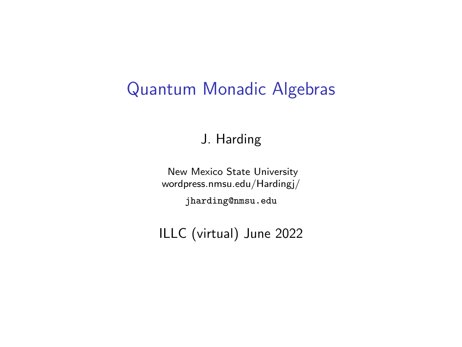#### Quantum Monadic Algebras

J. Harding

New Mexico State University wordpress.nmsu.edu/Hardingj/ jharding@nmsu.edu

ILLC (virtual) June 2022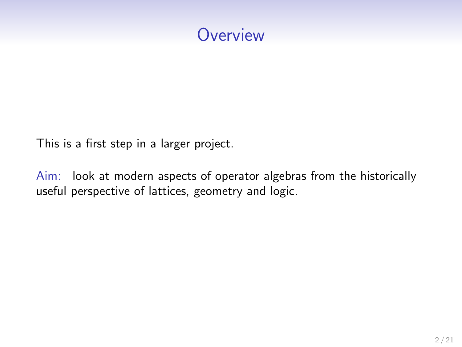### **Overview**

This is a first step in a larger project.

Aim: look at modern aspects of operator algebras from the historically useful perspective of lattices, geometry and logic.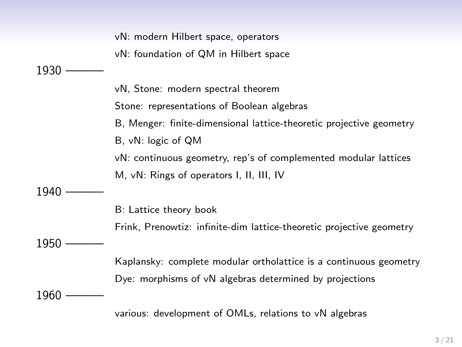vN: modern Hilbert space, operators vN: foundation of QM in Hilbert space 1930 vN, Stone: modern spectral theorem Stone: representations of Boolean algebras B, Menger: finite-dimensional lattice-theoretic projective geometry B, vN: logic of QM vN: continuous geometry, rep's of complemented modular lattices M, vN: Rings of operators I, II, III, IV 1940 B: Lattice theory book Frink, Prenowtiz: infinite-dim lattice-theoretic projective geometry 1950 Kaplansky: complete modular ortholattice is a continuous geometry Dye: morphisms of vN algebras determined by projections 1960 various: development of OMLs, relations to vN algebras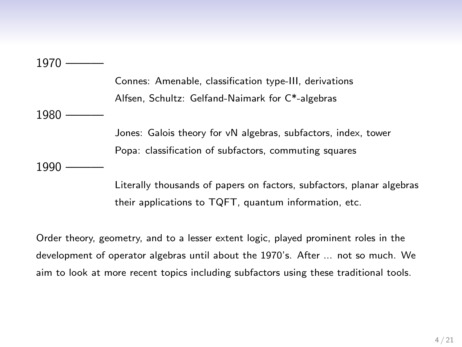1970

Connes: Amenable, classification type-III, derivations Alfsen, Schultz: Gelfand-Naimark for C\*-algebras 1980 Jones: Galois theory for vN algebras, subfactors, index, tower Popa: classification of subfactors, commuting squares 1990

> Literally thousands of papers on factors, subfactors, planar algebras their applications to TQFT, quantum information, etc.

Order theory, geometry, and to a lesser extent logic, played prominent roles in the development of operator algebras until about the 1970's. After ... not so much. We aim to look at more recent topics including subfactors using these traditional tools.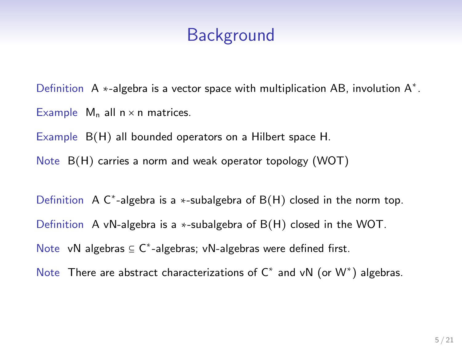Definition A  $*$ -algebra is a vector space with multiplication AB, involution  $A^*$ . Example  $M_n$  all  $n \times n$  matrices.

Example B(H) all bounded operators on a Hilbert space H.

Note B(H) carries a norm and weak operator topology (WOT)

Definition A  $C^*$ -algebra is a \*-subalgebra of  $B(H)$  closed in the norm top. Definition A vN-algebra is a ∗-subalgebra of B(H) closed in the WOT. Note vN algebras  $\subseteq$  C<sup>\*</sup>-algebras; vN-algebras were defined first.

Note There are abstract characterizations of  $C^*$  and vN (or  $W^*$ ) algebras.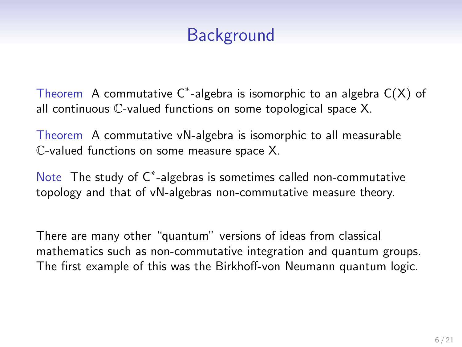Theorem A commutative  $C^*$ -algebra is isomorphic to an algebra  $C(X)$  of all continuous C-valued functions on some topological space X.

Theorem A commutative vN-algebra is isomorphic to all measurable C-valued functions on some measure space X.

Note The study of C<sup>\*</sup>-algebras is sometimes called non-commutative topology and that of vN-algebras non-commutative measure theory.

There are many other "quantum" versions of ideas from classical mathematics such as non-commutative integration and quantum groups. The first example of this was the Birkhoff-von Neumann quantum logic.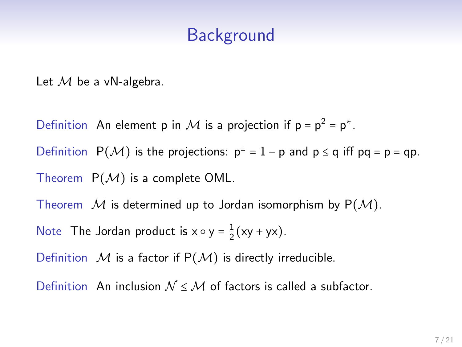Let  $M$  be a vN-algebra.

Definition An element p in M is a projection if  $p = p^2 = p^*$ .

Definition  $P(\mathcal{M})$  is the projections:  $p^{\perp} = 1 - p$  and  $p \leq q$  iff  $pq = p = qp$ .

Theorem  $P(M)$  is a complete OML.

Theorem  $\mathcal M$  is determined up to Jordan isomorphism by  $P(\mathcal M)$ .

Note The Jordan product is  $x \circ y = \frac{1}{2}(xy + yx)$ .

Definition  $M$  is a factor if  $P(M)$  is directly irreducible.

Definition An inclusion  $N \leq M$  of factors is called a subfactor.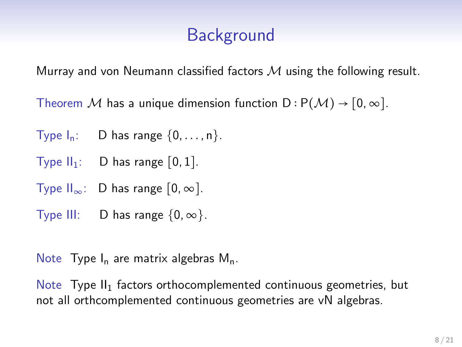Murray and von Neumann classified factors  $M$  using the following result.

Theorem M has a unique dimension function  $D : P(M) \rightarrow [0, \infty]$ .

- Type  $I_n$ : D has range  $\{0, \ldots, n\}$ .
- Type  $II_1$ : D has range  $[0, 1]$ .
- Type  $II_{\infty}$ : D has range  $[0, \infty]$ .
- Type III: D has range  $\{0, \infty\}$ .

Note Type  $I_n$  are matrix algebras  $M_n$ .

Note  $T$ ype  $II_1$  factors orthocomplemented continuous geometries, but not all orthcomplemented continuous geometries are vN algebras.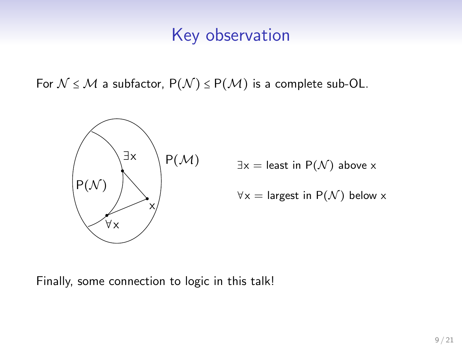#### Key observation

For  $\mathcal{N} \leq \mathcal{M}$  a subfactor,  $P(\mathcal{N}) \leq P(\mathcal{M})$  is a complete sub-OL.



 $P(\mathcal{M})$   $\exists x =$  least in  $P(\mathcal{N})$  above x

$$
\forall x = \text{largest in } P(\mathcal{N}) \text{ below } x
$$

Finally, some connection to logic in this talk!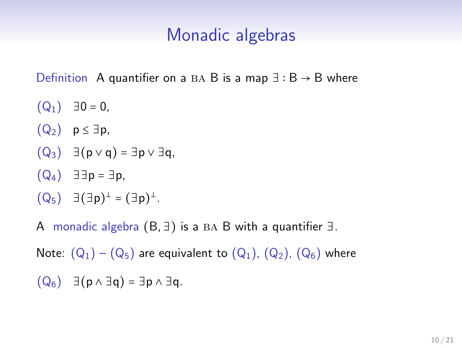#### Monadic algebras

Definition A quantifier on a BA B is a map  $\exists : B \rightarrow B$  where

- $(Q_1) \quad \exists 0 = 0,$
- $(Q_2)$  p  $\leq \exists p$ ,
- $(Q_3) \exists (p \vee q) = \exists p \vee \exists q,$
- $(Q_4)$  ∃∃p = ∃p,
- $(Q_5)$   $\exists (\exists p)^{\perp} = (\exists p)^{\perp}$ .

A monadic algebra  $(B, \exists)$  is a BA B with a quantifier  $\exists$ .

Note:  $(Q_1) - (Q_5)$  are equivalent to  $(Q_1)$ ,  $(Q_2)$ ,  $(Q_6)$  where

 $(Q_6)$   $\exists (p \wedge \exists q) = \exists p \wedge \exists q$ .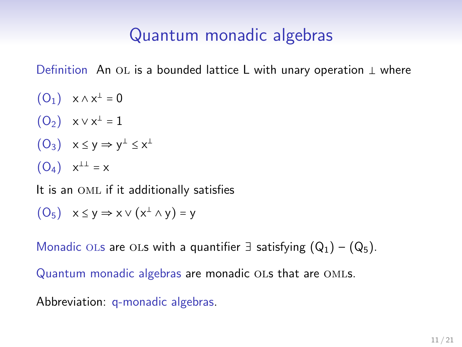# Quantum monadic algebras

Definition An OL is a bounded lattice L with unary operation ⊥ where

 $(O_1) \quad x \wedge x^{\perp} = 0$  $(O_2) \quad x \vee x^{\perp} = 1$  $(O_3) \quad x \leq y \Rightarrow y^{\perp} \leq x^{\perp}$  $(O_4) x^{\perp \perp} = x$ 

It is an OML if it additionally satisfies

 $(O_5)$   $x \le y \Rightarrow x \vee (x^{\perp} \wedge y) = y$ 

Monadic OLs are OLs with a quantifier  $\exists$  satisfying  $(Q_1) - (Q_5)$ .

Quantum monadic algebras are monadic OLs that are OMLs.

Abbreviation: q-monadic algebras.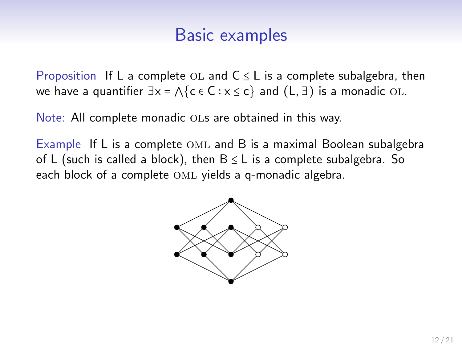#### Basic examples

Proposition If L a complete OL and  $C \leq L$  is a complete subalgebra, then we have a quantifier  $\exists x = \Lambda$ {c  $\in$  C :  $x \le c$ } and (L,  $\exists$ ) is a monadic OL.

Note: All complete monadic ols are obtained in this way.

Example If L is a complete OML and B is a maximal Boolean subalgebra of L (such is called a block), then  $B \leq L$  is a complete subalgebra. So each block of a complete OML yields a q-monadic algebra.

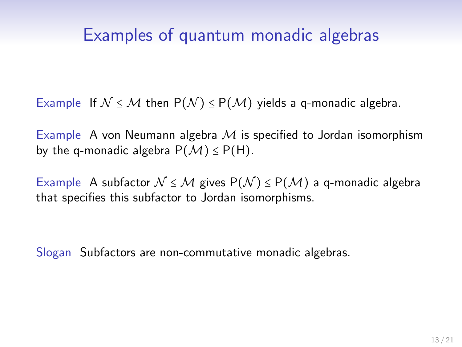### Examples of quantum monadic algebras

Example If  $N \le M$  then  $P(N) \le P(M)$  yields a q-monadic algebra.

Example A von Neumann algebra  $M$  is specified to Jordan isomorphism by the q-monadic algebra  $P(M) \leq P(H)$ .

Example A subfactor  $\mathcal{N} \leq \mathcal{M}$  gives  $P(\mathcal{N}) \leq P(\mathcal{M})$  a q-monadic algebra that specifies this subfactor to Jordan isomorphisms.

Slogan Subfactors are non-commutative monadic algebras.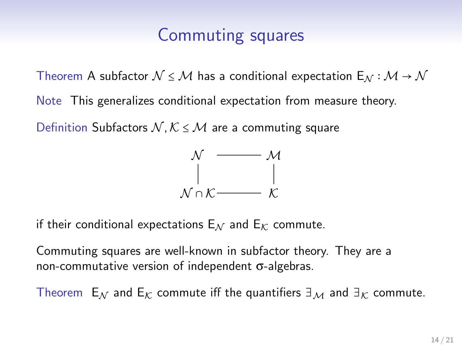### Commuting squares

Theorem A subfactor  $\mathcal{N} \leq \mathcal{M}$  has a conditional expectation  $E_{\mathcal{N}} : \mathcal{M} \to \mathcal{N}$ Note This generalizes conditional expectation from measure theory.

Definition Subfactors  $N, K \leq M$  are a commuting square



if their conditional expectations  $E_N$  and  $E_K$  commute.

Commuting squares are well-known in subfactor theory. They are a non-commutative version of independent σ-algebras.

Theorem E<sub>M</sub> and E<sub>K</sub> commute iff the quantifiers  $\exists_M$  and  $\exists_K$  commute.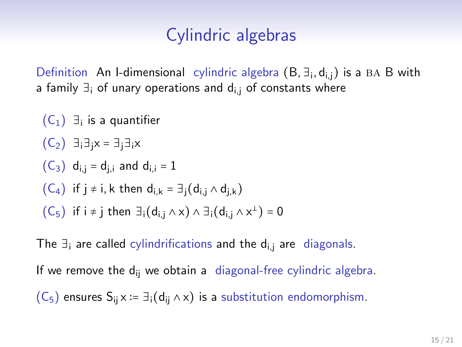## Cylindric algebras

Definition An I-dimensional cylindric algebra  $(B, \exists_i, d_{i,j})$  is a BA B with a family  $\exists_i$  of unary operations and  $d_{i,i}$  of constants where

\n- $$
(C_1)
$$
  $\exists_i$  is a quantifier
\n- $(C_2)$   $\exists_i \exists_j x = \exists_j \exists_j x$
\n- $(C_3)$   $d_{i,j} = d_{j,i}$  and  $d_{i,i} = 1$
\n- $(C_4)$  if  $j \neq i$ ,  $k$  then  $d_{i,k} = \exists_j (d_{i,j} \wedge d_{j,k})$
\n- $(C_5)$  if  $i \neq j$  then  $\exists_i (d_{i,j} \wedge x) \wedge \exists_j (d_{i,j} \wedge x^{\perp}) = 0$
\n

The  $\exists_i$  are called cylindrifications and the d<sub>ij</sub> are diagonals.

If we remove the  $d_{ii}$  we obtain a diagonal-free cylindric algebra.

 $(C_5)$  ensures  $S_{ii} \times := \exists_i (d_{ii} \wedge x)$  is a substitution endomorphism.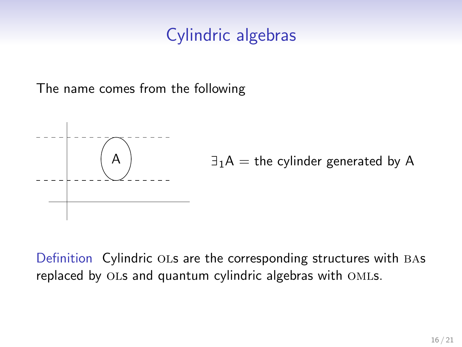### Cylindric algebras

The name comes from the following



Definition Cylindric OLs are the corresponding structures with BAs replaced by ols and quantum cylindric algebras with omls.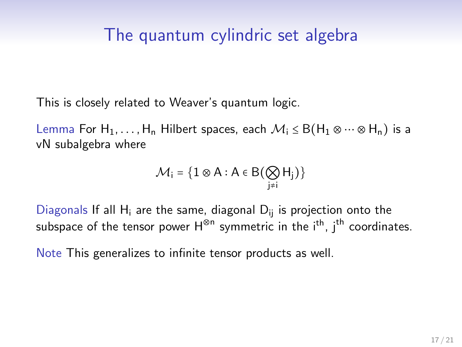### The quantum cylindric set algebra

This is closely related to Weaver's quantum logic.

Lemma For H<sub>1</sub>, ..., H<sub>n</sub> Hilbert spaces, each  $\mathcal{M}_i \leq B(H_1 \otimes \cdots \otimes H_n)$  is a vN subalgebra where

$$
\mathcal{M}_i = \big\{1\otimes A : A\in B\big(\bigotimes_{j\neq i}H_j\big)\big\}
$$

Diagonals If all  $H_i$  are the same, diagonal  $D_{ii}$  is projection onto the subspace of the tensor power H<sup>⊗n</sup> symmetric in the i<sup>th</sup>, j<sup>th</sup> coordinates.

Note This generalizes to infinite tensor products as well.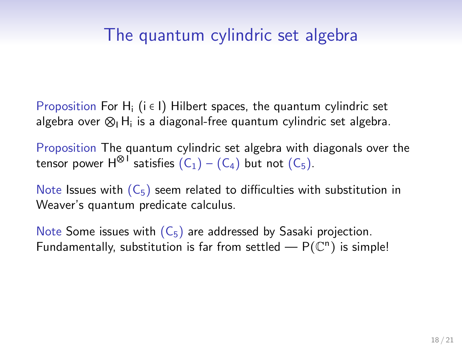# The quantum cylindric set algebra

Proposition For H<sub>i</sub> ( $i \in I$ ) Hilbert spaces, the quantum cylindric set algebra over  $\otimes_{\mathsf{I}}\mathsf{H}_{\mathsf{i}}$  is a diagonal-free quantum cylindric set algebra.

Proposition The quantum cylindric set algebra with diagonals over the tensor power  $H^{\otimes 1}$  satisfies  $(C_1) - (C_4)$  but not  $(C_5)$ .

Note Issues with  $(C_5)$  seem related to difficulties with substitution in Weaver's quantum predicate calculus.

Note Some issues with  $(C_5)$  are addressed by Sasaki projection. Fundamentally, substitution is far from settled  $- P(\mathbb{C}^n)$  is simple!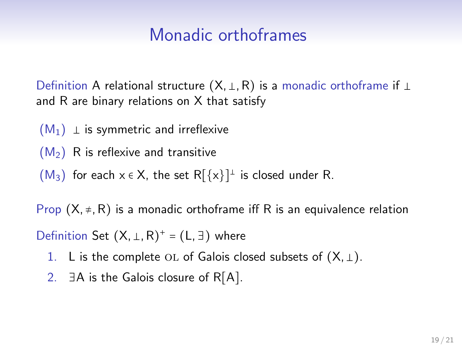### Monadic orthoframes

Definition A relational structure (X, ⊥, R) is a monadic orthoframe if ⊥ and R are binary relations on X that satisfy

- $(M_1)$  ⊥ is symmetric and irreflexive
- $(M<sub>2</sub>)$  R is reflexive and transitive
- $(M_3)$  for each  $x \in X$ , the set  $R[\{x\}]^{\perp}$  is closed under R.

Prop  $(X, \neq, R)$  is a monadic orthoframe iff R is an equivalence relation

Definition Set  $(X, \perp, R)^+ = (L, \exists)$  where

- 1. L is the complete OL of Galois closed subsets of  $(X, \perp)$ .
- 2.  $∃A$  is the Galois closure of R $[A]$ .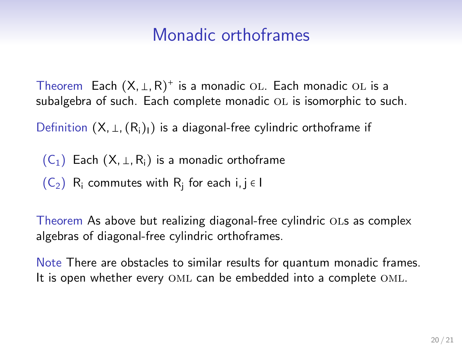### Monadic orthoframes

Theorem Each  $(X, \perp, R)^+$  is a monadic OL. Each monadic OL is a subalgebra of such. Each complete monadic OL is isomorphic to such.

Definition  $(X, \perp, (R_i)_I)$  is a diagonal-free cylindric orthoframe if

 $(C_1)$  Each  $(X, \perp, R_i)$  is a monadic orthoframe

 $(C_2)$  R<sub>i</sub> commutes with R<sub>i</sub> for each i, j  $\in I$ 

Theorem As above but realizing diagonal-free cylindric ols as complex algebras of diagonal-free cylindric orthoframes.

Note There are obstacles to similar results for quantum monadic frames. It is open whether every OML can be embedded into a complete OML.